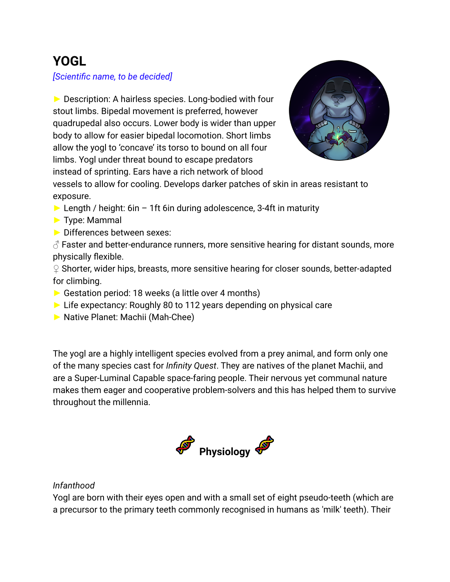# **YOGL**

*[Scientific name, to be decided]*

► Description: A hairless species. Long-bodied with four stout limbs. Bipedal movement is preferred, however quadrupedal also occurs. Lower body is wider than upper body to allow for easier bipedal locomotion. Short limbs allow the yogl to 'concave' its torso to bound on all four limbs. Yogl under threat bound to escape predators instead of sprinting. Ears have a rich network of blood



vessels to allow for cooling. Develops darker patches of skin in areas resistant to exposure.

- $\triangleright$  Length / height: 6in 1ft 6in during adolescence, 3-4ft in maturity
- ► Type: Mammal
- ► Differences between sexes:

 $\beta$  Faster and better-endurance runners, more sensitive hearing for distant sounds, more physically flexible.

♀ Shorter, wider hips, breasts, more sensitive hearing for closer sounds, better-adapted for climbing.

- ► Gestation period: 18 weeks (a little over 4 months)
- ► Life expectancy: Roughly 80 to 112 years depending on physical care
- ► Native Planet: Machii (Mah-Chee)

The yogl are a highly intelligent species evolved from a prey animal, and form only one of the many species cast for *Infinity Quest*. They are natives of the planet Machii, and are a Super-Luminal Capable space-faring people. Their nervous yet communal nature makes them eager and cooperative problem-solvers and this has helped them to survive throughout the millennia.



# *Infanthood*

Yogl are born with their eyes open and with a small set of eight pseudo-teeth (which are a precursor to the primary teeth commonly recognised in humans as 'milk' teeth). Their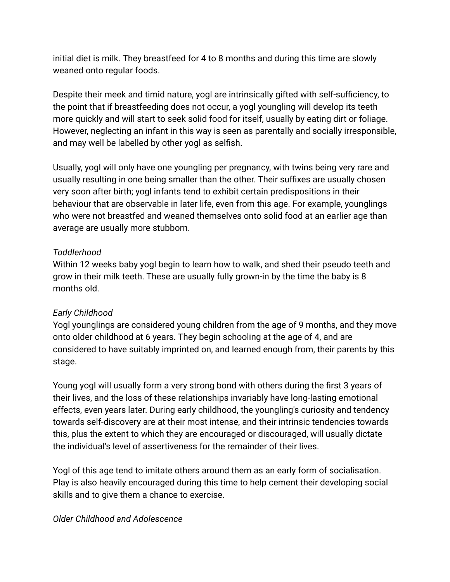initial diet is milk. They breastfeed for 4 to 8 months and during this time are slowly weaned onto regular foods.

Despite their meek and timid nature, yogl are intrinsically gifted with self-sufficiency, to the point that if breastfeeding does not occur, a yogl youngling will develop its teeth more quickly and will start to seek solid food for itself, usually by eating dirt or foliage. However, neglecting an infant in this way is seen as parentally and socially irresponsible, and may well be labelled by other yogl as selfish.

Usually, yogl will only have one youngling per pregnancy, with twins being very rare and usually resulting in one being smaller than the other. Their suffixes are usually chosen very soon after birth; yogl infants tend to exhibit certain predispositions in their behaviour that are observable in later life, even from this age. For example, younglings who were not breastfed and weaned themselves onto solid food at an earlier age than average are usually more stubborn.

# *Toddlerhood*

Within 12 weeks baby yogl begin to learn how to walk, and shed their pseudo teeth and grow in their milk teeth. These are usually fully grown-in by the time the baby is 8 months old.

# *Early Childhood*

Yogl younglings are considered young children from the age of 9 months, and they move onto older childhood at 6 years. They begin schooling at the age of 4, and are considered to have suitably imprinted on, and learned enough from, their parents by this stage.

Young yogl will usually form a very strong bond with others during the first 3 years of their lives, and the loss of these relationships invariably have long-lasting emotional effects, even years later. During early childhood, the youngling's curiosity and tendency towards self-discovery are at their most intense, and their intrinsic tendencies towards this, plus the extent to which they are encouraged or discouraged, will usually dictate the individual's level of assertiveness for the remainder of their lives.

Yogl of this age tend to imitate others around them as an early form of socialisation. Play is also heavily encouraged during this time to help cement their developing social skills and to give them a chance to exercise.

#### *Older Childhood and Adolescence*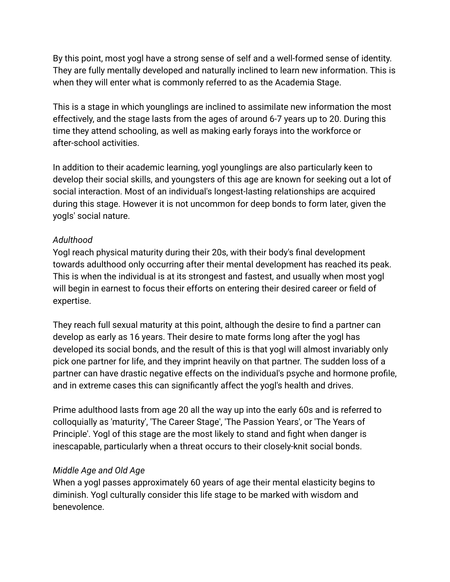By this point, most yogl have a strong sense of self and a well-formed sense of identity. They are fully mentally developed and naturally inclined to learn new information. This is when they will enter what is commonly referred to as the Academia Stage.

This is a stage in which younglings are inclined to assimilate new information the most effectively, and the stage lasts from the ages of around 6-7 years up to 20. During this time they attend schooling, as well as making early forays into the workforce or after-school activities.

In addition to their academic learning, yogl younglings are also particularly keen to develop their social skills, and youngsters of this age are known for seeking out a lot of social interaction. Most of an individual's longest-lasting relationships are acquired during this stage. However it is not uncommon for deep bonds to form later, given the yogls' social nature.

# *Adulthood*

Yogl reach physical maturity during their 20s, with their body's final development towards adulthood only occurring after their mental development has reached its peak. This is when the individual is at its strongest and fastest, and usually when most yogl will begin in earnest to focus their efforts on entering their desired career or field of expertise.

They reach full sexual maturity at this point, although the desire to find a partner can develop as early as 16 years. Their desire to mate forms long after the yogl has developed its social bonds, and the result of this is that yogl will almost invariably only pick one partner for life, and they imprint heavily on that partner. The sudden loss of a partner can have drastic negative effects on the individual's psyche and hormone profile, and in extreme cases this can significantly affect the yogl's health and drives.

Prime adulthood lasts from age 20 all the way up into the early 60s and is referred to colloquially as 'maturity', 'The Career Stage', 'The Passion Years', or 'The Years of Principle'. Yogl of this stage are the most likely to stand and fight when danger is inescapable, particularly when a threat occurs to their closely-knit social bonds.

# *Middle Age and Old Age*

When a yogl passes approximately 60 years of age their mental elasticity begins to diminish. Yogl culturally consider this life stage to be marked with wisdom and benevolence.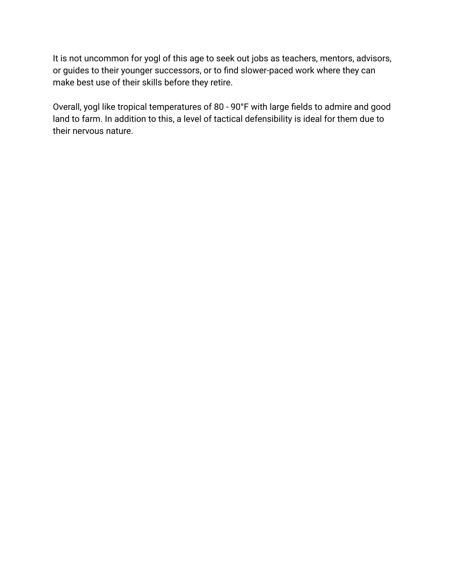It is not uncommon for yogl of this age to seek out jobs as teachers, mentors, advisors, or guides to their younger successors, or to find slower-paced work where they can make best use of their skills before they retire.

Overall, yogl like tropical temperatures of 80 - 90°F with large fields to admire and good land to farm. In addition to this, a level of tactical defensibility is ideal for them due to their nervous nature.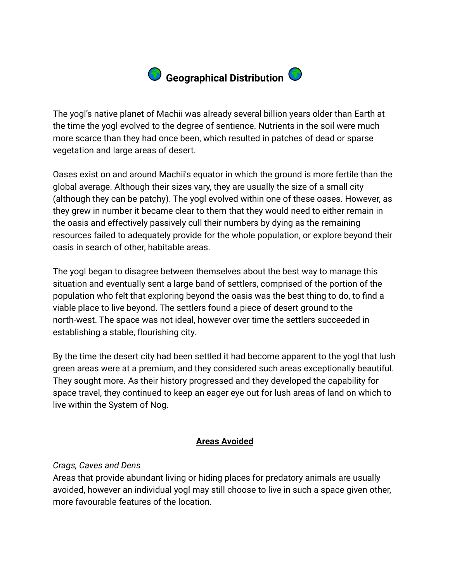

The yogl's native planet of Machii was already several billion years older than Earth at the time the yogl evolved to the degree of sentience. Nutrients in the soil were much more scarce than they had once been, which resulted in patches of dead or sparse vegetation and large areas of desert.

Oases exist on and around Machii's equator in which the ground is more fertile than the global average. Although their sizes vary, they are usually the size of a small city (although they can be patchy). The yogl evolved within one of these oases. However, as they grew in number it became clear to them that they would need to either remain in the oasis and effectively passively cull their numbers by dying as the remaining resources failed to adequately provide for the whole population, or explore beyond their oasis in search of other, habitable areas.

The yogl began to disagree between themselves about the best way to manage this situation and eventually sent a large band of settlers, comprised of the portion of the population who felt that exploring beyond the oasis was the best thing to do, to find a viable place to live beyond. The settlers found a piece of desert ground to the north-west. The space was not ideal, however over time the settlers succeeded in establishing a stable, flourishing city.

By the time the desert city had been settled it had become apparent to the yogl that lush green areas were at a premium, and they considered such areas exceptionally beautiful. They sought more. As their history progressed and they developed the capability for space travel, they continued to keep an eager eye out for lush areas of land on which to live within the System of Nog.

#### **Areas Avoided**

#### *Crags, Caves and Dens*

Areas that provide abundant living or hiding places for predatory animals are usually avoided, however an individual yogl may still choose to live in such a space given other, more favourable features of the location.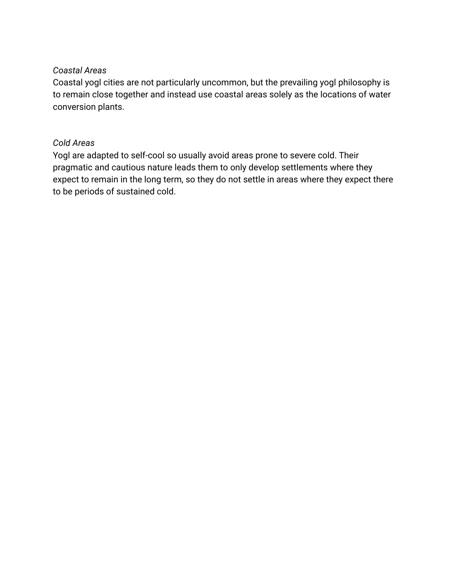#### *Coastal Areas*

Coastal yogl cities are not particularly uncommon, but the prevailing yogl philosophy is to remain close together and instead use coastal areas solely as the locations of water conversion plants.

# *Cold Areas*

Yogl are adapted to self-cool so usually avoid areas prone to severe cold. Their pragmatic and cautious nature leads them to only develop settlements where they expect to remain in the long term, so they do not settle in areas where they expect there to be periods of sustained cold.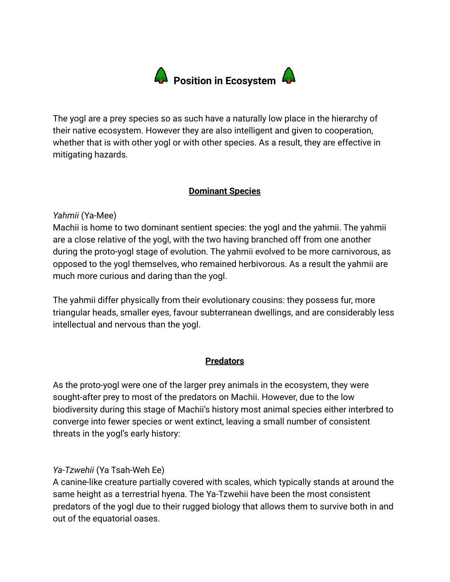

The yogl are a prey species so as such have a naturally low place in the hierarchy of their native ecosystem. However they are also intelligent and given to cooperation, whether that is with other yogl or with other species. As a result, they are effective in mitigating hazards.

#### **Dominant Species**

# *Yahmii* (Ya-Mee)

Machii is home to two dominant sentient species: the yogl and the yahmii. The yahmii are a close relative of the yogl, with the two having branched off from one another during the proto-yogl stage of evolution. The yahmii evolved to be more carnivorous, as opposed to the yogl themselves, who remained herbivorous. As a result the yahmii are much more curious and daring than the yogl.

The yahmii differ physically from their evolutionary cousins: they possess fur, more triangular heads, smaller eyes, favour subterranean dwellings, and are considerably less intellectual and nervous than the yogl.

#### **Predators**

As the proto-yogl were one of the larger prey animals in the ecosystem, they were sought-after prey to most of the predators on Machii. However, due to the low biodiversity during this stage of Machii's history most animal species either interbred to converge into fewer species or went extinct, leaving a small number of consistent threats in the yogl's early history:

#### *Ya-Tzwehii* (Ya Tsah-Weh Ee)

A canine-like creature partially covered with scales, which typically stands at around the same height as a terrestrial hyena. The Ya-Tzwehii have been the most consistent predators of the yogl due to their rugged biology that allows them to survive both in and out of the equatorial oases.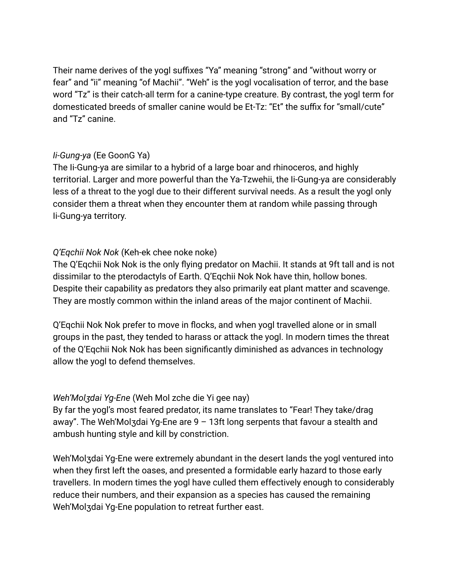Their name derives of the yogl suffixes "Ya" meaning "strong" and "without worry or fear" and "ii" meaning "of Machii". "Weh" is the yogl vocalisation of terror, and the base word "Tz" is their catch-all term for a canine-type creature. By contrast, the yogl term for domesticated breeds of smaller canine would be Et-Tz: "Et" the suffix for "small/cute" and "Tz" canine.

#### *Ii-Gung-ya* (Ee GoonG Ya)

The Ii-Gung-ya are similar to a hybrid of a large boar and rhinoceros, and highly territorial. Larger and more powerful than the Ya-Tzwehii, the Ii-Gung-ya are considerably less of a threat to the yogl due to their different survival needs. As a result the yogl only consider them a threat when they encounter them at random while passing through Ii-Gung-ya territory.

#### *Q'Eqchii Nok Nok* (Keh-ek chee noke noke)

The Q'Eqchii Nok Nok is the only flying predator on Machii. It stands at 9ft tall and is not dissimilar to the pterodactyls of Earth. Q'Eqchii Nok Nok have thin, hollow bones. Despite their capability as predators they also primarily eat plant matter and scavenge. They are mostly common within the inland areas of the major continent of Machii.

Q'Eqchii Nok Nok prefer to move in flocks, and when yogl travelled alone or in small groups in the past, they tended to harass or attack the yogl. In modern times the threat of the Q'Eqchii Nok Nok has been significantly diminished as advances in technology allow the yogl to defend themselves.

#### *Weh'Molʒdai Yg-Ene* (Weh Mol zche die Yi gee nay)

By far the yogl's most feared predator, its name translates to "Fear! They take/drag away". The Weh'Molzdai Yg-Ene are  $9 - 13$ ft long serpents that favour a stealth and ambush hunting style and kill by constriction.

Weh'Molʒdai Yg-Ene were extremely abundant in the desert lands the yogl ventured into when they first left the oases, and presented a formidable early hazard to those early travellers. In modern times the yogl have culled them effectively enough to considerably reduce their numbers, and their expansion as a species has caused the remaining Weh'Molʒdai Yg-Ene population to retreat further east.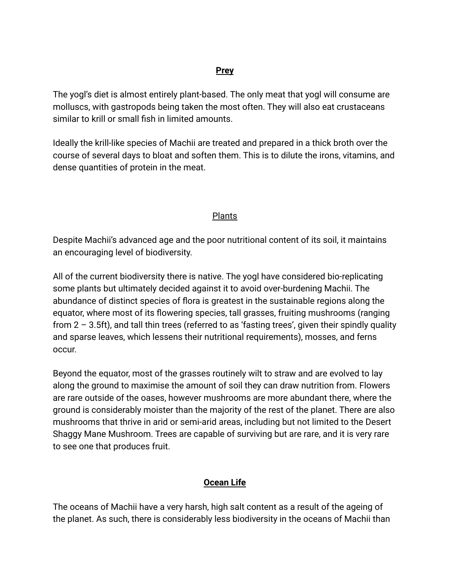#### **Prey**

The yogl's diet is almost entirely plant-based. The only meat that yogl will consume are molluscs, with gastropods being taken the most often. They will also eat crustaceans similar to krill or small fish in limited amounts.

Ideally the krill-like species of Machii are treated and prepared in a thick broth over the course of several days to bloat and soften them. This is to dilute the irons, vitamins, and dense quantities of protein in the meat.

# Plants

Despite Machii's advanced age and the poor nutritional content of its soil, it maintains an encouraging level of biodiversity.

All of the current biodiversity there is native. The yogl have considered bio-replicating some plants but ultimately decided against it to avoid over-burdening Machii. The abundance of distinct species of flora is greatest in the sustainable regions along the equator, where most of its flowering species, tall grasses, fruiting mushrooms (ranging from 2 – 3.5ft), and tall thin trees (referred to as 'fasting trees', given their spindly quality and sparse leaves, which lessens their nutritional requirements), mosses, and ferns occur.

Beyond the equator, most of the grasses routinely wilt to straw and are evolved to lay along the ground to maximise the amount of soil they can draw nutrition from. Flowers are rare outside of the oases, however mushrooms are more abundant there, where the ground is considerably moister than the majority of the rest of the planet. There are also mushrooms that thrive in arid or semi-arid areas, including but not limited to the Desert Shaggy Mane Mushroom. Trees are capable of surviving but are rare, and it is very rare to see one that produces fruit.

# **Ocean Life**

The oceans of Machii have a very harsh, high salt content as a result of the ageing of the planet. As such, there is considerably less biodiversity in the oceans of Machii than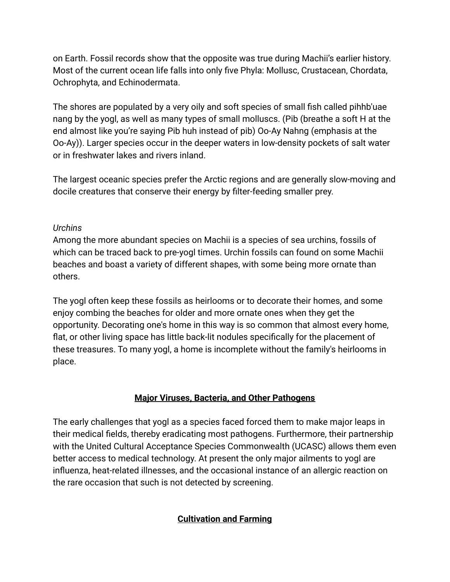on Earth. Fossil records show that the opposite was true during Machii's earlier history. Most of the current ocean life falls into only five Phyla: Mollusc, Crustacean, Chordata, Ochrophyta, and Echinodermata.

The shores are populated by a very oily and soft species of small fish called pihhb'uae nang by the yogl, as well as many types of small molluscs. (Pib (breathe a soft H at the end almost like you're saying Pib huh instead of pib) Oo-Ay Nahng (emphasis at the Oo-Ay)). Larger species occur in the deeper waters in low-density pockets of salt water or in freshwater lakes and rivers inland.

The largest oceanic species prefer the Arctic regions and are generally slow-moving and docile creatures that conserve their energy by filter-feeding smaller prey.

# *Urchins*

Among the more abundant species on Machii is a species of sea urchins, fossils of which can be traced back to pre-yogl times. Urchin fossils can found on some Machii beaches and boast a variety of different shapes, with some being more ornate than others.

The yogl often keep these fossils as heirlooms or to decorate their homes, and some enjoy combing the beaches for older and more ornate ones when they get the opportunity. Decorating one's home in this way is so common that almost every home, flat, or other living space has little back-lit nodules specifically for the placement of these treasures. To many yogl, a home is incomplete without the family's heirlooms in place.

# **Major Viruses, Bacteria, and Other Pathogens**

The early challenges that yogl as a species faced forced them to make major leaps in their medical fields, thereby eradicating most pathogens. Furthermore, their partnership with the United Cultural Acceptance Species Commonwealth (UCASC) allows them even better access to medical technology. At present the only major ailments to yogl are influenza, heat-related illnesses, and the occasional instance of an allergic reaction on the rare occasion that such is not detected by screening.

# **Cultivation and Farming**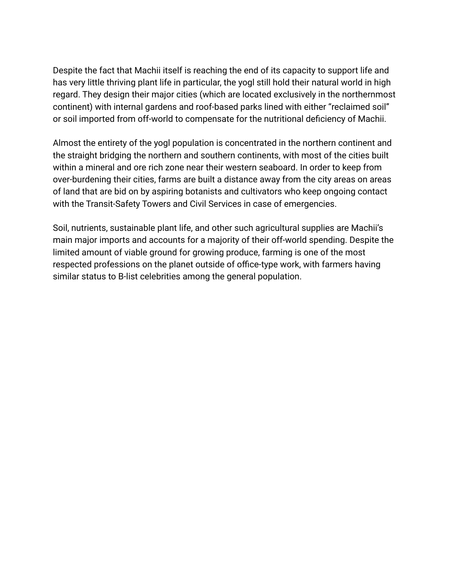Despite the fact that Machii itself is reaching the end of its capacity to support life and has very little thriving plant life in particular, the yogl still hold their natural world in high regard. They design their major cities (which are located exclusively in the northernmost continent) with internal gardens and roof-based parks lined with either "reclaimed soil" or soil imported from off-world to compensate for the nutritional deficiency of Machii.

Almost the entirety of the yogl population is concentrated in the northern continent and the straight bridging the northern and southern continents, with most of the cities built within a mineral and ore rich zone near their western seaboard. In order to keep from over-burdening their cities, farms are built a distance away from the city areas on areas of land that are bid on by aspiring botanists and cultivators who keep ongoing contact with the Transit-Safety Towers and Civil Services in case of emergencies.

Soil, nutrients, sustainable plant life, and other such agricultural supplies are Machii's main major imports and accounts for a majority of their off-world spending. Despite the limited amount of viable ground for growing produce, farming is one of the most respected professions on the planet outside of office-type work, with farmers having similar status to B-list celebrities among the general population.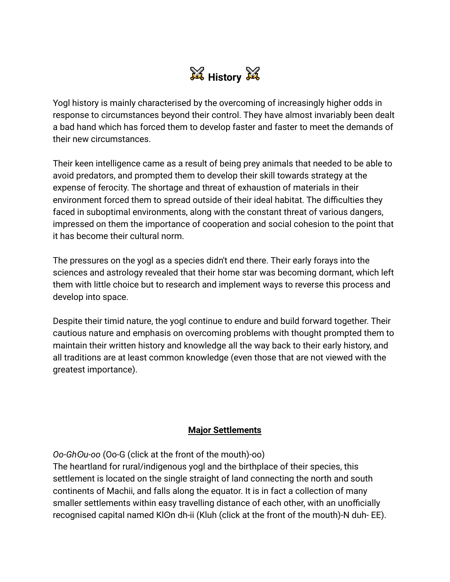

Yogl history is mainly characterised by the overcoming of increasingly higher odds in response to circumstances beyond their control. They have almost invariably been dealt a bad hand which has forced them to develop faster and faster to meet the demands of their new circumstances.

Their keen intelligence came as a result of being prey animals that needed to be able to avoid predators, and prompted them to develop their skill towards strategy at the expense of ferocity. The shortage and threat of exhaustion of materials in their environment forced them to spread outside of their ideal habitat. The difficulties they faced in suboptimal environments, along with the constant threat of various dangers, impressed on them the importance of cooperation and social cohesion to the point that it has become their cultural norm.

The pressures on the yogl as a species didn't end there. Their early forays into the sciences and astrology revealed that their home star was becoming dormant, which left them with little choice but to research and implement ways to reverse this process and develop into space.

Despite their timid nature, the yogl continue to endure and build forward together. Their cautious nature and emphasis on overcoming problems with thought prompted them to maintain their written history and knowledge all the way back to their early history, and all traditions are at least common knowledge (even those that are not viewed with the greatest importance).

#### **Major Settlements**

*Oo-Ghʘu-oo* (Oo-G (click at the front of the mouth)-oo)

The heartland for rural/indigenous yogl and the birthplace of their species, this settlement is located on the single straight of land connecting the north and south continents of Machii, and falls along the equator. It is in fact a collection of many smaller settlements within easy travelling distance of each other, with an unofficially recognised capital named KIOn dh-ii (Kluh (click at the front of the mouth)-N duh- EE).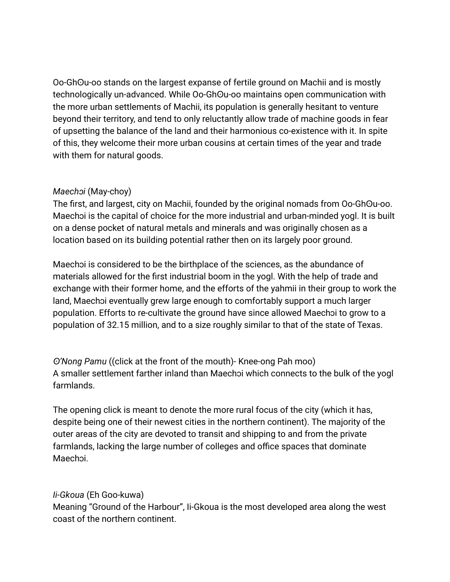Oo-Ghʘu-oo stands on the largest expanse of fertile ground on Machii and is mostly technologically un-advanced. While Oo-GhOu-oo maintains open communication with the more urban settlements of Machii, its population is generally hesitant to venture beyond their territory, and tend to only reluctantly allow trade of machine goods in fear of upsetting the balance of the land and their harmonious co-existence with it. In spite of this, they welcome their more urban cousins at certain times of the year and trade with them for natural goods.

# *Maechɔi* (May-choy)

The first, and largest, city on Machii, founded by the original nomads from Oo-GhOu-oo. Maechoi is the capital of choice for the more industrial and urban-minded yogl. It is built on a dense pocket of natural metals and minerals and was originally chosen as a location based on its building potential rather then on its largely poor ground.

Maechoi is considered to be the birthplace of the sciences, as the abundance of materials allowed for the first industrial boom in the yogl. With the help of trade and exchange with their former home, and the efforts of the yahmii in their group to work the land, Maechɔi eventually grew large enough to comfortably support a much larger population. Efforts to re-cultivate the ground have since allowed Maechɔi to grow to a population of 32.15 million, and to a size roughly similar to that of the state of Texas.

*ʘ'Nong Pamu* ((click at the front of the mouth)- Knee-ong Pah moo) A smaller settlement farther inland than Maechɔi which connects to the bulk of the yogl farmlands.

The opening click is meant to denote the more rural focus of the city (which it has, despite being one of their newest cities in the northern continent). The majority of the outer areas of the city are devoted to transit and shipping to and from the private farmlands, lacking the large number of colleges and office spaces that dominate Maechɔi.

# *Ii-Gkoua* (Eh Goo-kuwa)

Meaning "Ground of the Harbour", Ii-Gkoua is the most developed area along the west coast of the northern continent.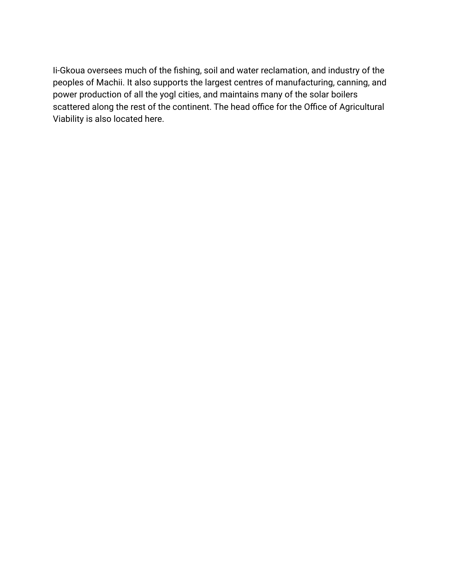Ii-Gkoua oversees much of the fishing, soil and water reclamation, and industry of the peoples of Machii. It also supports the largest centres of manufacturing, canning, and power production of all the yogl cities, and maintains many of the solar boilers scattered along the rest of the continent. The head office for the Office of Agricultural Viability is also located here.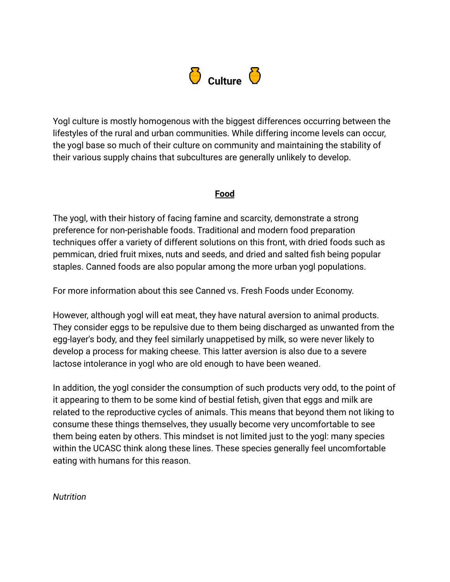

Yogl culture is mostly homogenous with the biggest differences occurring between the lifestyles of the rural and urban communities. While differing income levels can occur, the yogl base so much of their culture on community and maintaining the stability of their various supply chains that subcultures are generally unlikely to develop.

#### **Food**

The yogl, with their history of facing famine and scarcity, demonstrate a strong preference for non-perishable foods. Traditional and modern food preparation techniques offer a variety of different solutions on this front, with dried foods such as pemmican, dried fruit mixes, nuts and seeds, and dried and salted fish being popular staples. Canned foods are also popular among the more urban yogl populations.

For more information about this see Canned vs. Fresh Foods under Economy.

However, although yogl will eat meat, they have natural aversion to animal products. They consider eggs to be repulsive due to them being discharged as unwanted from the egg-layer's body, and they feel similarly unappetised by milk, so were never likely to develop a process for making cheese. This latter aversion is also due to a severe lactose intolerance in yogl who are old enough to have been weaned.

In addition, the yogl consider the consumption of such products very odd, to the point of it appearing to them to be some kind of bestial fetish, given that eggs and milk are related to the reproductive cycles of animals. This means that beyond them not liking to consume these things themselves, they usually become very uncomfortable to see them being eaten by others. This mindset is not limited just to the yogl: many species within the UCASC think along these lines. These species generally feel uncomfortable eating with humans for this reason.

*Nutrition*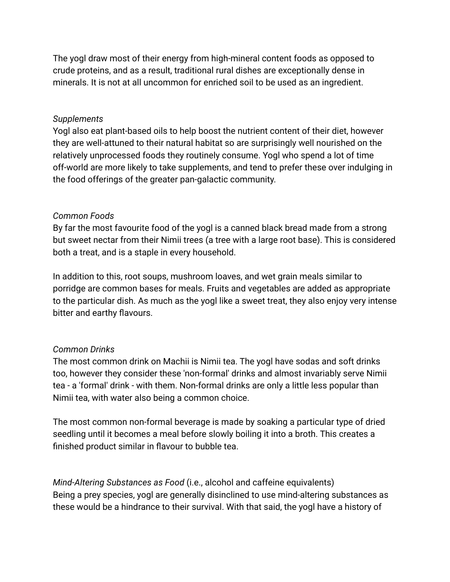The yogl draw most of their energy from high-mineral content foods as opposed to crude proteins, and as a result, traditional rural dishes are exceptionally dense in minerals. It is not at all uncommon for enriched soil to be used as an ingredient.

#### *Supplements*

Yogl also eat plant-based oils to help boost the nutrient content of their diet, however they are well-attuned to their natural habitat so are surprisingly well nourished on the relatively unprocessed foods they routinely consume. Yogl who spend a lot of time off-world are more likely to take supplements, and tend to prefer these over indulging in the food offerings of the greater pan-galactic community.

# *Common Foods*

By far the most favourite food of the yogl is a canned black bread made from a strong but sweet nectar from their Nimii trees (a tree with a large root base). This is considered both a treat, and is a staple in every household.

In addition to this, root soups, mushroom loaves, and wet grain meals similar to porridge are common bases for meals. Fruits and vegetables are added as appropriate to the particular dish. As much as the yogl like a sweet treat, they also enjoy very intense bitter and earthy flavours.

# *Common Drinks*

The most common drink on Machii is Nimii tea. The yogl have sodas and soft drinks too, however they consider these 'non-formal' drinks and almost invariably serve Nimii tea - a 'formal' drink - with them. Non-formal drinks are only a little less popular than Nimii tea, with water also being a common choice.

The most common non-formal beverage is made by soaking a particular type of dried seedling until it becomes a meal before slowly boiling it into a broth. This creates a finished product similar in flavour to bubble tea.

*Mind-Altering Substances as Food* (i.e., alcohol and caffeine equivalents) Being a prey species, yogl are generally disinclined to use mind-altering substances as these would be a hindrance to their survival. With that said, the yogl have a history of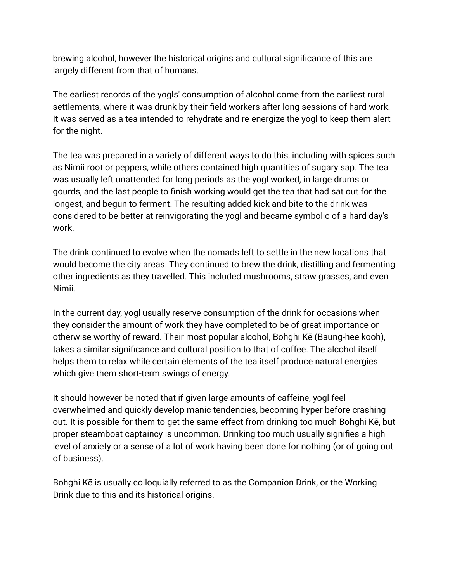brewing alcohol, however the historical origins and cultural significance of this are largely different from that of humans.

The earliest records of the yogls' consumption of alcohol come from the earliest rural settlements, where it was drunk by their field workers after long sessions of hard work. It was served as a tea intended to rehydrate and re energize the yogl to keep them alert for the night.

The tea was prepared in a variety of different ways to do this, including with spices such as Nimii root or peppers, while others contained high quantities of sugary sap. The tea was usually left unattended for long periods as the yogl worked, in large drums or gourds, and the last people to finish working would get the tea that had sat out for the longest, and begun to ferment. The resulting added kick and bite to the drink was considered to be better at reinvigorating the yogl and became symbolic of a hard day's work.

The drink continued to evolve when the nomads left to settle in the new locations that would become the city areas. They continued to brew the drink, distilling and fermenting other ingredients as they travelled. This included mushrooms, straw grasses, and even Nimii.

In the current day, yogl usually reserve consumption of the drink for occasions when they consider the amount of work they have completed to be of great importance or otherwise worthy of reward. Their most popular alcohol, Bohghi Kē (Baung-hee kooh), takes a similar significance and cultural position to that of coffee. The alcohol itself helps them to relax while certain elements of the tea itself produce natural energies which give them short-term swings of energy.

It should however be noted that if given large amounts of caffeine, yogl feel overwhelmed and quickly develop manic tendencies, becoming hyper before crashing out. It is possible for them to get the same effect from drinking too much Bohghi Kē, but proper steamboat captaincy is uncommon. Drinking too much usually signifies a high level of anxiety or a sense of a lot of work having been done for nothing (or of going out of business).

Bohghi Kē is usually colloquially referred to as the Companion Drink, or the Working Drink due to this and its historical origins.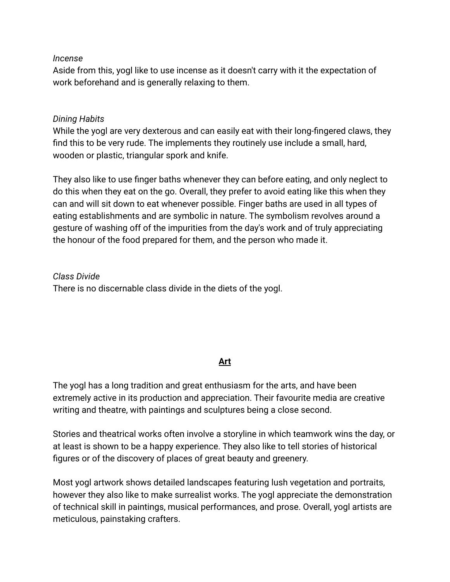#### *Incense*

Aside from this, yogl like to use incense as it doesn't carry with it the expectation of work beforehand and is generally relaxing to them.

#### *Dining Habits*

While the yogl are very dexterous and can easily eat with their long-fingered claws, they find this to be very rude. The implements they routinely use include a small, hard, wooden or plastic, triangular spork and knife.

They also like to use finger baths whenever they can before eating, and only neglect to do this when they eat on the go. Overall, they prefer to avoid eating like this when they can and will sit down to eat whenever possible. Finger baths are used in all types of eating establishments and are symbolic in nature. The symbolism revolves around a gesture of washing off of the impurities from the day's work and of truly appreciating the honour of the food prepared for them, and the person who made it.

*Class Divide* There is no discernable class divide in the diets of the yogl.

# **Art**

The yogl has a long tradition and great enthusiasm for the arts, and have been extremely active in its production and appreciation. Their favourite media are creative writing and theatre, with paintings and sculptures being a close second.

Stories and theatrical works often involve a storyline in which teamwork wins the day, or at least is shown to be a happy experience. They also like to tell stories of historical figures or of the discovery of places of great beauty and greenery.

Most yogl artwork shows detailed landscapes featuring lush vegetation and portraits, however they also like to make surrealist works. The yogl appreciate the demonstration of technical skill in paintings, musical performances, and prose. Overall, yogl artists are meticulous, painstaking crafters.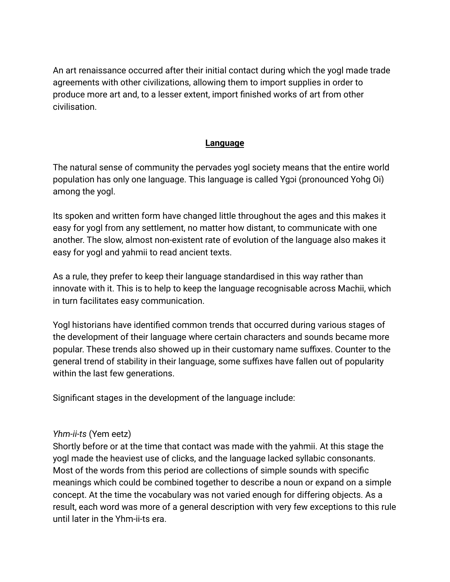An art renaissance occurred after their initial contact during which the yogl made trade agreements with other civilizations, allowing them to import supplies in order to produce more art and, to a lesser extent, import finished works of art from other civilisation.

#### **Language**

The natural sense of community the pervades yogl society means that the entire world population has only one language. This language is called Ygɔi (pronounced Yohg Oi) among the yogl.

Its spoken and written form have changed little throughout the ages and this makes it easy for yogl from any settlement, no matter how distant, to communicate with one another. The slow, almost non-existent rate of evolution of the language also makes it easy for yogl and yahmii to read ancient texts.

As a rule, they prefer to keep their language standardised in this way rather than innovate with it. This is to help to keep the language recognisable across Machii, which in turn facilitates easy communication.

Yogl historians have identified common trends that occurred during various stages of the development of their language where certain characters and sounds became more popular. These trends also showed up in their customary name suffixes. Counter to the general trend of stability in their language, some suffixes have fallen out of popularity within the last few generations.

Significant stages in the development of the language include:

#### *Yhm-ii-ts* (Yem eetz)

Shortly before or at the time that contact was made with the yahmii. At this stage the yogl made the heaviest use of clicks, and the language lacked syllabic consonants. Most of the words from this period are collections of simple sounds with specific meanings which could be combined together to describe a noun or expand on a simple concept. At the time the vocabulary was not varied enough for differing objects. As a result, each word was more of a general description with very few exceptions to this rule until later in the Yhm-ii-ts era.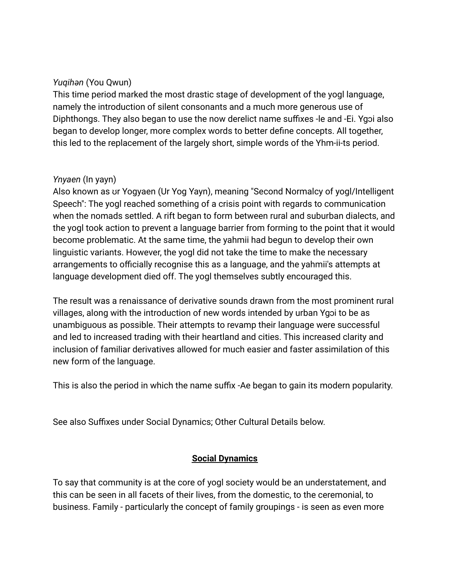#### *Yuqihən* (You Qwun)

This time period marked the most drastic stage of development of the yogl language, namely the introduction of silent consonants and a much more generous use of Diphthongs. They also began to use the now derelict name suffixes -le and -Ei. Ygɔi also began to develop longer, more complex words to better define concepts. All together, this led to the replacement of the largely short, simple words of the Yhm-ii-ts period.

#### *Ynyaen* (In yayn)

Also known as ʊr Yogyaen (Ur Yog Yayn), meaning "Second Normalcy of yogl/Intelligent Speech": The yogl reached something of a crisis point with regards to communication when the nomads settled. A rift began to form between rural and suburban dialects, and the yogl took action to prevent a language barrier from forming to the point that it would become problematic. At the same time, the yahmii had begun to develop their own linguistic variants. However, the yogl did not take the time to make the necessary arrangements to officially recognise this as a language, and the yahmii's attempts at language development died off. The yogl themselves subtly encouraged this.

The result was a renaissance of derivative sounds drawn from the most prominent rural villages, along with the introduction of new words intended by urban Ygɔi to be as unambiguous as possible. Their attempts to revamp their language were successful and led to increased trading with their heartland and cities. This increased clarity and inclusion of familiar derivatives allowed for much easier and faster assimilation of this new form of the language.

This is also the period in which the name suffix -Ae began to gain its modern popularity.

See also Suffixes under Social Dynamics; Other Cultural Details below.

# **Social Dynamics**

To say that community is at the core of yogl society would be an understatement, and this can be seen in all facets of their lives, from the domestic, to the ceremonial, to business. Family - particularly the concept of family groupings - is seen as even more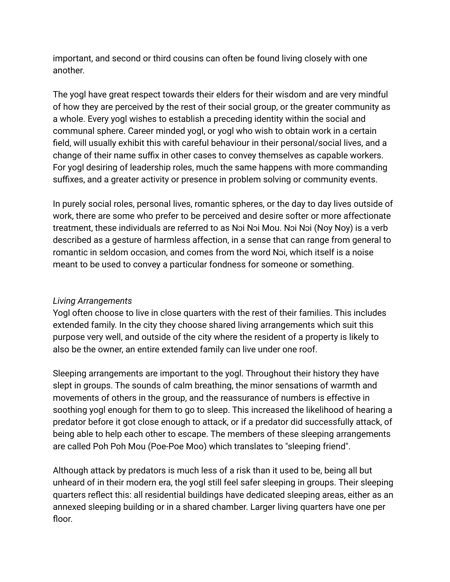important, and second or third cousins can often be found living closely with one another.

The yogl have great respect towards their elders for their wisdom and are very mindful of how they are perceived by the rest of their social group, or the greater community as a whole. Every yogl wishes to establish a preceding identity within the social and communal sphere. Career minded yogl, or yogl who wish to obtain work in a certain field, will usually exhibit this with careful behaviour in their personal/social lives, and a change of their name suffix in other cases to convey themselves as capable workers. For yogl desiring of leadership roles, much the same happens with more commanding suffixes, and a greater activity or presence in problem solving or community events.

In purely social roles, personal lives, romantic spheres, or the day to day lives outside of work, there are some who prefer to be perceived and desire softer or more affectionate treatment, these individuals are referred to as Nɔi Nɔi Mou. Nɔi Nɔi (Noy Noy) is a verb described as a gesture of harmless affection, in a sense that can range from general to romantic in seldom occasion, and comes from the word Nɔi, which itself is a noise meant to be used to convey a particular fondness for someone or something.

# *Living Arrangements*

Yogl often choose to live in close quarters with the rest of their families. This includes extended family. In the city they choose shared living arrangements which suit this purpose very well, and outside of the city where the resident of a property is likely to also be the owner, an entire extended family can live under one roof.

Sleeping arrangements are important to the yogl. Throughout their history they have slept in groups. The sounds of calm breathing, the minor sensations of warmth and movements of others in the group, and the reassurance of numbers is effective in soothing yogl enough for them to go to sleep. This increased the likelihood of hearing a predator before it got close enough to attack, or if a predator did successfully attack, of being able to help each other to escape. The members of these sleeping arrangements are called Poh Poh Mou (Poe-Poe Moo) which translates to "sleeping friend".

Although attack by predators is much less of a risk than it used to be, being all but unheard of in their modern era, the yogl still feel safer sleeping in groups. Their sleeping quarters reflect this: all residential buildings have dedicated sleeping areas, either as an annexed sleeping building or in a shared chamber. Larger living quarters have one per floor.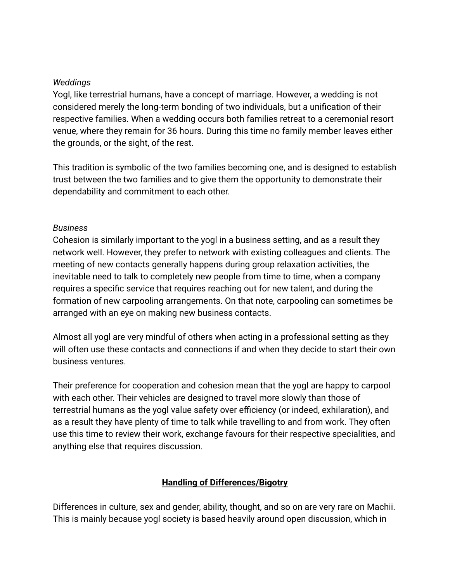#### *Weddings*

Yogl, like terrestrial humans, have a concept of marriage. However, a wedding is not considered merely the long-term bonding of two individuals, but a unification of their respective families. When a wedding occurs both families retreat to a ceremonial resort venue, where they remain for 36 hours. During this time no family member leaves either the grounds, or the sight, of the rest.

This tradition is symbolic of the two families becoming one, and is designed to establish trust between the two families and to give them the opportunity to demonstrate their dependability and commitment to each other.

#### *Business*

Cohesion is similarly important to the yogl in a business setting, and as a result they network well. However, they prefer to network with existing colleagues and clients. The meeting of new contacts generally happens during group relaxation activities, the inevitable need to talk to completely new people from time to time, when a company requires a specific service that requires reaching out for new talent, and during the formation of new carpooling arrangements. On that note, carpooling can sometimes be arranged with an eye on making new business contacts.

Almost all yogl are very mindful of others when acting in a professional setting as they will often use these contacts and connections if and when they decide to start their own business ventures.

Their preference for cooperation and cohesion mean that the yogl are happy to carpool with each other. Their vehicles are designed to travel more slowly than those of terrestrial humans as the yogl value safety over efficiency (or indeed, exhilaration), and as a result they have plenty of time to talk while travelling to and from work. They often use this time to review their work, exchange favours for their respective specialities, and anything else that requires discussion.

# **Handling of Differences/Bigotry**

Differences in culture, sex and gender, ability, thought, and so on are very rare on Machii. This is mainly because yogl society is based heavily around open discussion, which in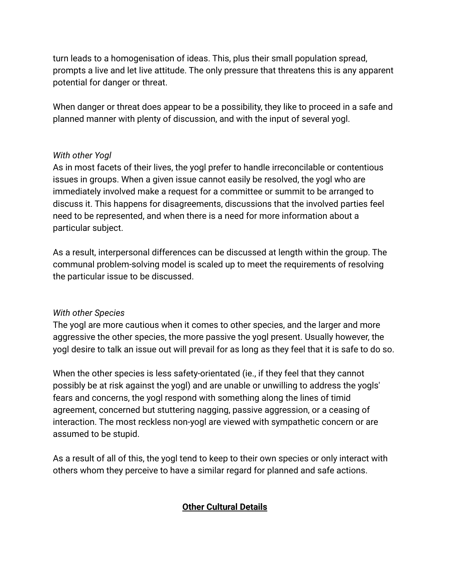turn leads to a homogenisation of ideas. This, plus their small population spread, prompts a live and let live attitude. The only pressure that threatens this is any apparent potential for danger or threat.

When danger or threat does appear to be a possibility, they like to proceed in a safe and planned manner with plenty of discussion, and with the input of several yogl.

#### *With other Yogl*

As in most facets of their lives, the yogl prefer to handle irreconcilable or contentious issues in groups. When a given issue cannot easily be resolved, the yogl who are immediately involved make a request for a committee or summit to be arranged to discuss it. This happens for disagreements, discussions that the involved parties feel need to be represented, and when there is a need for more information about a particular subject.

As a result, interpersonal differences can be discussed at length within the group. The communal problem-solving model is scaled up to meet the requirements of resolving the particular issue to be discussed.

#### *With other Species*

The yogl are more cautious when it comes to other species, and the larger and more aggressive the other species, the more passive the yogl present. Usually however, the yogl desire to talk an issue out will prevail for as long as they feel that it is safe to do so.

When the other species is less safety-orientated (ie., if they feel that they cannot possibly be at risk against the yogl) and are unable or unwilling to address the yogls' fears and concerns, the yogl respond with something along the lines of timid agreement, concerned but stuttering nagging, passive aggression, or a ceasing of interaction. The most reckless non-yogl are viewed with sympathetic concern or are assumed to be stupid.

As a result of all of this, the yogl tend to keep to their own species or only interact with others whom they perceive to have a similar regard for planned and safe actions.

# **Other Cultural Details**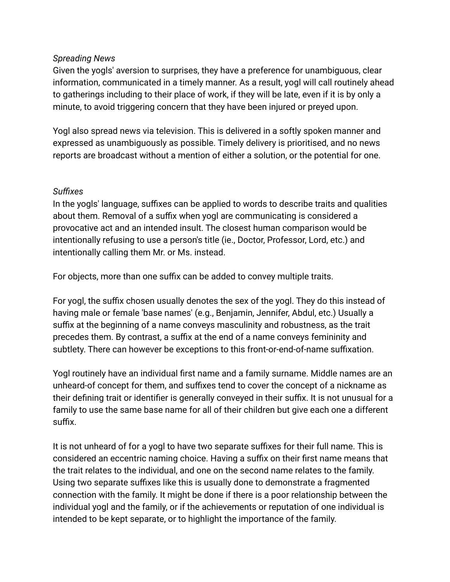#### *Spreading News*

Given the yogls' aversion to surprises, they have a preference for unambiguous, clear information, communicated in a timely manner. As a result, yogl will call routinely ahead to gatherings including to their place of work, if they will be late, even if it is by only a minute, to avoid triggering concern that they have been injured or preyed upon.

Yogl also spread news via television. This is delivered in a softly spoken manner and expressed as unambiguously as possible. Timely delivery is prioritised, and no news reports are broadcast without a mention of either a solution, or the potential for one.

#### *Suffixes*

In the yogls' language, suffixes can be applied to words to describe traits and qualities about them. Removal of a suffix when yogl are communicating is considered a provocative act and an intended insult. The closest human comparison would be intentionally refusing to use a person's title (ie., Doctor, Professor, Lord, etc.) and intentionally calling them Mr. or Ms. instead.

For objects, more than one suffix can be added to convey multiple traits.

For yogl, the suffix chosen usually denotes the sex of the yogl. They do this instead of having male or female 'base names' (e.g., Benjamin, Jennifer, Abdul, etc.) Usually a suffix at the beginning of a name conveys masculinity and robustness, as the trait precedes them. By contrast, a suffix at the end of a name conveys femininity and subtlety. There can however be exceptions to this front-or-end-of-name suffixation.

Yogl routinely have an individual first name and a family surname. Middle names are an unheard-of concept for them, and suffixes tend to cover the concept of a nickname as their defining trait or identifier is generally conveyed in their suffix. It is not unusual for a family to use the same base name for all of their children but give each one a different suffix.

It is not unheard of for a yogl to have two separate suffixes for their full name. This is considered an eccentric naming choice. Having a suffix on their first name means that the trait relates to the individual, and one on the second name relates to the family. Using two separate suffixes like this is usually done to demonstrate a fragmented connection with the family. It might be done if there is a poor relationship between the individual yogl and the family, or if the achievements or reputation of one individual is intended to be kept separate, or to highlight the importance of the family.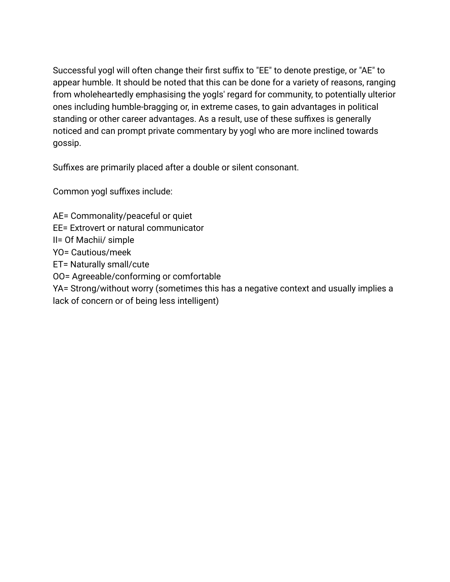Successful yogl will often change their first suffix to "EE" to denote prestige, or "AE" to appear humble. It should be noted that this can be done for a variety of reasons, ranging from wholeheartedly emphasising the yogls' regard for community, to potentially ulterior ones including humble-bragging or, in extreme cases, to gain advantages in political standing or other career advantages. As a result, use of these suffixes is generally noticed and can prompt private commentary by yogl who are more inclined towards gossip.

Suffixes are primarily placed after a double or silent consonant.

Common yogl suffixes include:

AE= Commonality/peaceful or quiet

EE= Extrovert or natural communicator

II= Of Machii/ simple

YO= Cautious/meek

ET= Naturally small/cute

OO= Agreeable/conforming or comfortable

YA= Strong/without worry (sometimes this has a negative context and usually implies a lack of concern or of being less intelligent)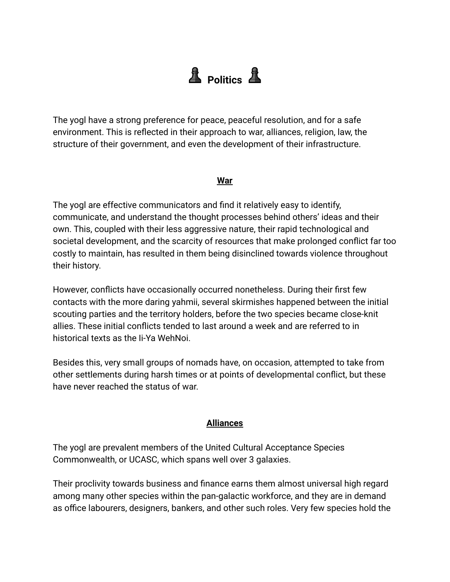# **A** Politics **A**

The yogl have a strong preference for peace, peaceful resolution, and for a safe environment. This is reflected in their approach to war, alliances, religion, law, the structure of their government, and even the development of their infrastructure.

#### **War**

The yogl are effective communicators and find it relatively easy to identify, communicate, and understand the thought processes behind others' ideas and their own. This, coupled with their less aggressive nature, their rapid technological and societal development, and the scarcity of resources that make prolonged conflict far too costly to maintain, has resulted in them being disinclined towards violence throughout their history.

However, conflicts have occasionally occurred nonetheless. During their first few contacts with the more daring yahmii, several skirmishes happened between the initial scouting parties and the territory holders, before the two species became close-knit allies. These initial conflicts tended to last around a week and are referred to in historical texts as the Ii-Ya WehNoi.

Besides this, very small groups of nomads have, on occasion, attempted to take from other settlements during harsh times or at points of developmental conflict, but these have never reached the status of war.

#### **Alliances**

The yogl are prevalent members of the United Cultural Acceptance Species Commonwealth, or UCASC, which spans well over 3 galaxies.

Their proclivity towards business and finance earns them almost universal high regard among many other species within the pan-galactic workforce, and they are in demand as office labourers, designers, bankers, and other such roles. Very few species hold the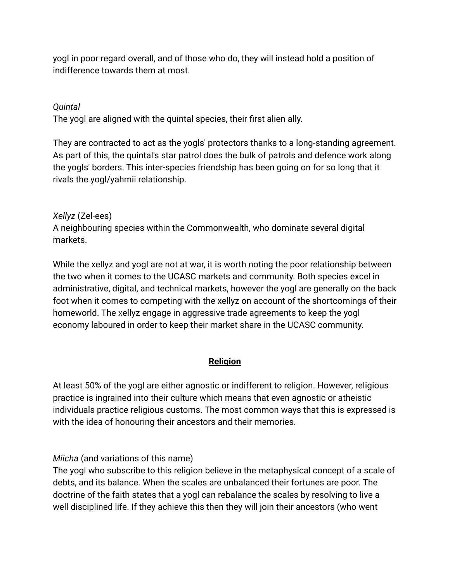yogl in poor regard overall, and of those who do, they will instead hold a position of indifference towards them at most.

# *Quintal*

The yogl are aligned with the quintal species, their first alien ally.

They are contracted to act as the yogls' protectors thanks to a long-standing agreement. As part of this, the quintal's star patrol does the bulk of patrols and defence work along the yogls' borders. This inter-species friendship has been going on for so long that it rivals the yogl/yahmii relationship.

# *Xellyz* (Zel-ees)

A neighbouring species within the Commonwealth, who dominate several digital markets.

While the xellyz and yogl are not at war, it is worth noting the poor relationship between the two when it comes to the UCASC markets and community. Both species excel in administrative, digital, and technical markets, however the yogl are generally on the back foot when it comes to competing with the xellyz on account of the shortcomings of their homeworld. The xellyz engage in aggressive trade agreements to keep the yogl economy laboured in order to keep their market share in the UCASC community.

# **Religion**

At least 50% of the yogl are either agnostic or indifferent to religion. However, religious practice is ingrained into their culture which means that even agnostic or atheistic individuals practice religious customs. The most common ways that this is expressed is with the idea of honouring their ancestors and their memories.

*Miicha* (and variations of this name)

The yogl who subscribe to this religion believe in the metaphysical concept of a scale of debts, and its balance. When the scales are unbalanced their fortunes are poor. The doctrine of the faith states that a yogl can rebalance the scales by resolving to live a well disciplined life. If they achieve this then they will join their ancestors (who went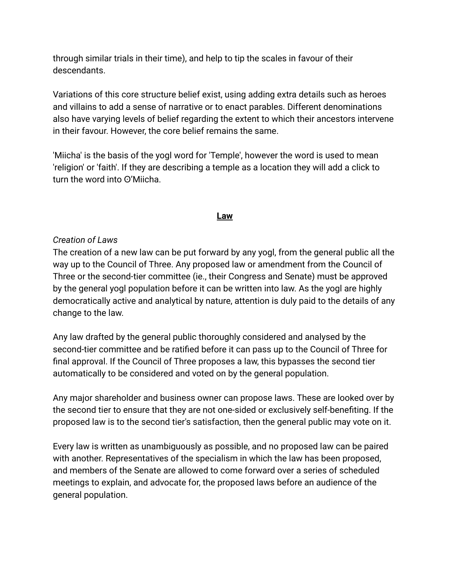through similar trials in their time), and help to tip the scales in favour of their descendants.

Variations of this core structure belief exist, using adding extra details such as heroes and villains to add a sense of narrative or to enact parables. Different denominations also have varying levels of belief regarding the extent to which their ancestors intervene in their favour. However, the core belief remains the same.

'Miicha' is the basis of the yogl word for 'Temple', however the word is used to mean 'religion' or 'faith'. If they are describing a temple as a location they will add a click to turn the word into O'Miicha.

#### **Law**

#### *Creation of Laws*

The creation of a new law can be put forward by any yogl, from the general public all the way up to the Council of Three. Any proposed law or amendment from the Council of Three or the second-tier committee (ie., their Congress and Senate) must be approved by the general yogl population before it can be written into law. As the yogl are highly democratically active and analytical by nature, attention is duly paid to the details of any change to the law.

Any law drafted by the general public thoroughly considered and analysed by the second-tier committee and be ratified before it can pass up to the Council of Three for final approval. If the Council of Three proposes a law, this bypasses the second tier automatically to be considered and voted on by the general population.

Any major shareholder and business owner can propose laws. These are looked over by the second tier to ensure that they are not one-sided or exclusively self-benefiting. If the proposed law is to the second tier's satisfaction, then the general public may vote on it.

Every law is written as unambiguously as possible, and no proposed law can be paired with another. Representatives of the specialism in which the law has been proposed, and members of the Senate are allowed to come forward over a series of scheduled meetings to explain, and advocate for, the proposed laws before an audience of the general population.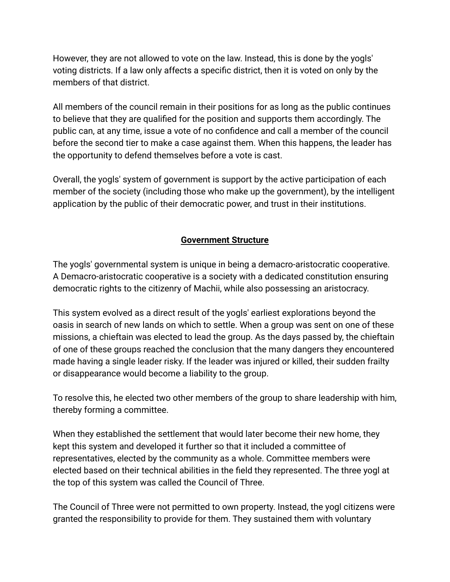However, they are not allowed to vote on the law. Instead, this is done by the yogls' voting districts. If a law only affects a specific district, then it is voted on only by the members of that district.

All members of the council remain in their positions for as long as the public continues to believe that they are qualified for the position and supports them accordingly. The public can, at any time, issue a vote of no confidence and call a member of the council before the second tier to make a case against them. When this happens, the leader has the opportunity to defend themselves before a vote is cast.

Overall, the yogls' system of government is support by the active participation of each member of the society (including those who make up the government), by the intelligent application by the public of their democratic power, and trust in their institutions.

# **Government Structure**

The yogls' governmental system is unique in being a demacro-aristocratic cooperative. A Demacro-aristocratic cooperative is a society with a dedicated constitution ensuring democratic rights to the citizenry of Machii, while also possessing an aristocracy.

This system evolved as a direct result of the yogls' earliest explorations beyond the oasis in search of new lands on which to settle. When a group was sent on one of these missions, a chieftain was elected to lead the group. As the days passed by, the chieftain of one of these groups reached the conclusion that the many dangers they encountered made having a single leader risky. If the leader was injured or killed, their sudden frailty or disappearance would become a liability to the group.

To resolve this, he elected two other members of the group to share leadership with him, thereby forming a committee.

When they established the settlement that would later become their new home, they kept this system and developed it further so that it included a committee of representatives, elected by the community as a whole. Committee members were elected based on their technical abilities in the field they represented. The three yogl at the top of this system was called the Council of Three.

The Council of Three were not permitted to own property. Instead, the yogl citizens were granted the responsibility to provide for them. They sustained them with voluntary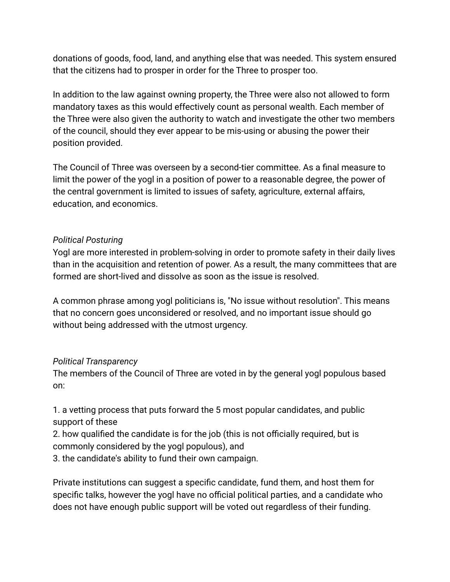donations of goods, food, land, and anything else that was needed. This system ensured that the citizens had to prosper in order for the Three to prosper too.

In addition to the law against owning property, the Three were also not allowed to form mandatory taxes as this would effectively count as personal wealth. Each member of the Three were also given the authority to watch and investigate the other two members of the council, should they ever appear to be mis-using or abusing the power their position provided.

The Council of Three was overseen by a second-tier committee. As a final measure to limit the power of the yogl in a position of power to a reasonable degree, the power of the central government is limited to issues of safety, agriculture, external affairs, education, and economics.

# *Political Posturing*

Yogl are more interested in problem-solving in order to promote safety in their daily lives than in the acquisition and retention of power. As a result, the many committees that are formed are short-lived and dissolve as soon as the issue is resolved.

A common phrase among yogl politicians is, "No issue without resolution". This means that no concern goes unconsidered or resolved, and no important issue should go without being addressed with the utmost urgency.

# *Political Transparency*

The members of the Council of Three are voted in by the general yogl populous based on:

1. a vetting process that puts forward the 5 most popular candidates, and public support of these

2. how qualified the candidate is for the job (this is not officially required, but is commonly considered by the yogl populous), and

3. the candidate's ability to fund their own campaign.

Private institutions can suggest a specific candidate, fund them, and host them for specific talks, however the yogl have no official political parties, and a candidate who does not have enough public support will be voted out regardless of their funding.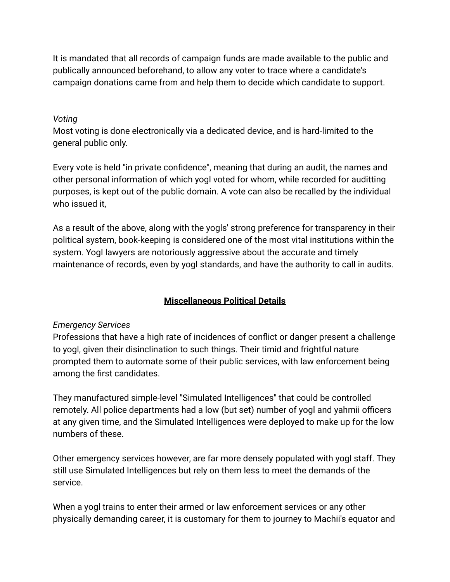It is mandated that all records of campaign funds are made available to the public and publically announced beforehand, to allow any voter to trace where a candidate's campaign donations came from and help them to decide which candidate to support.

#### *Voting*

Most voting is done electronically via a dedicated device, and is hard-limited to the general public only.

Every vote is held "in private confidence", meaning that during an audit, the names and other personal information of which yogl voted for whom, while recorded for auditting purposes, is kept out of the public domain. A vote can also be recalled by the individual who issued it,

As a result of the above, along with the yogls' strong preference for transparency in their political system, book-keeping is considered one of the most vital institutions within the system. Yogl lawyers are notoriously aggressive about the accurate and timely maintenance of records, even by yogl standards, and have the authority to call in audits.

# **Miscellaneous Political Details**

# *Emergency Services*

Professions that have a high rate of incidences of conflict or danger present a challenge to yogl, given their disinclination to such things. Their timid and frightful nature prompted them to automate some of their public services, with law enforcement being among the first candidates.

They manufactured simple-level "Simulated Intelligences" that could be controlled remotely. All police departments had a low (but set) number of yogl and yahmii officers at any given time, and the Simulated Intelligences were deployed to make up for the low numbers of these.

Other emergency services however, are far more densely populated with yogl staff. They still use Simulated Intelligences but rely on them less to meet the demands of the service.

When a yogl trains to enter their armed or law enforcement services or any other physically demanding career, it is customary for them to journey to Machii's equator and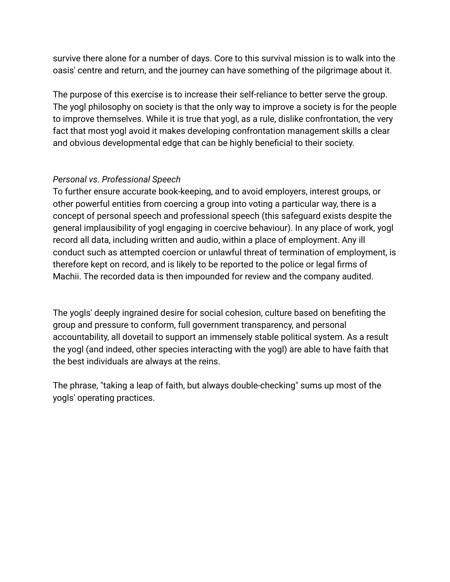survive there alone for a number of days. Core to this survival mission is to walk into the oasis' centre and return, and the journey can have something of the pilgrimage about it.

The purpose of this exercise is to increase their self-reliance to better serve the group. The yogl philosophy on society is that the only way to improve a society is for the people to improve themselves. While it is true that yogl, as a rule, dislike confrontation, the very fact that most yogl avoid it makes developing confrontation management skills a clear and obvious developmental edge that can be highly beneficial to their society.

# *Personal vs. Professional Speech*

To further ensure accurate book-keeping, and to avoid employers, interest groups, or other powerful entities from coercing a group into voting a particular way, there is a concept of personal speech and professional speech (this safeguard exists despite the general implausibility of yogl engaging in coercive behaviour). In any place of work, yogl record all data, including written and audio, within a place of employment. Any ill conduct such as attempted coercion or unlawful threat of termination of employment, is therefore kept on record, and is likely to be reported to the police or legal firms of Machii. The recorded data is then impounded for review and the company audited.

The yogls' deeply ingrained desire for social cohesion, culture based on benefiting the group and pressure to conform, full government transparency, and personal accountability, all dovetail to support an immensely stable political system. As a result the yogl (and indeed, other species interacting with the yogl) are able to have faith that the best individuals are always at the reins.

The phrase, "taking a leap of faith, but always double-checking" sums up most of the yogls' operating practices.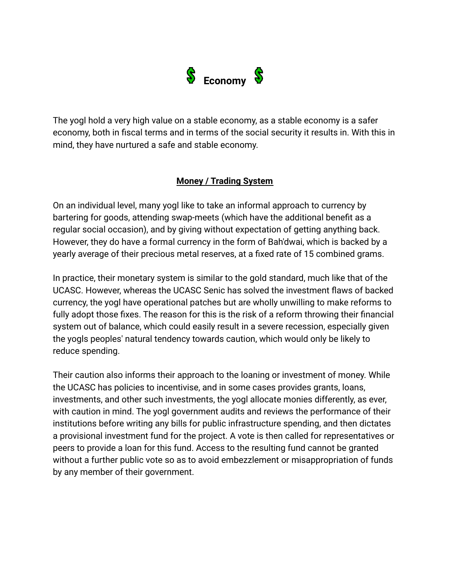

The yogl hold a very high value on a stable economy, as a stable economy is a safer economy, both in fiscal terms and in terms of the social security it results in. With this in mind, they have nurtured a safe and stable economy.

#### **Money / Trading System**

On an individual level, many yogl like to take an informal approach to currency by bartering for goods, attending swap-meets (which have the additional benefit as a regular social occasion), and by giving without expectation of getting anything back. However, they do have a formal currency in the form of Bah'dwai, which is backed by a yearly average of their precious metal reserves, at a fixed rate of 15 combined grams.

In practice, their monetary system is similar to the gold standard, much like that of the UCASC. However, whereas the UCASC Senic has solved the investment flaws of backed currency, the yogl have operational patches but are wholly unwilling to make reforms to fully adopt those fixes. The reason for this is the risk of a reform throwing their financial system out of balance, which could easily result in a severe recession, especially given the yogls peoples' natural tendency towards caution, which would only be likely to reduce spending.

Their caution also informs their approach to the loaning or investment of money. While the UCASC has policies to incentivise, and in some cases provides grants, loans, investments, and other such investments, the yogl allocate monies differently, as ever, with caution in mind. The yogl government audits and reviews the performance of their institutions before writing any bills for public infrastructure spending, and then dictates a provisional investment fund for the project. A vote is then called for representatives or peers to provide a loan for this fund. Access to the resulting fund cannot be granted without a further public vote so as to avoid embezzlement or misappropriation of funds by any member of their government.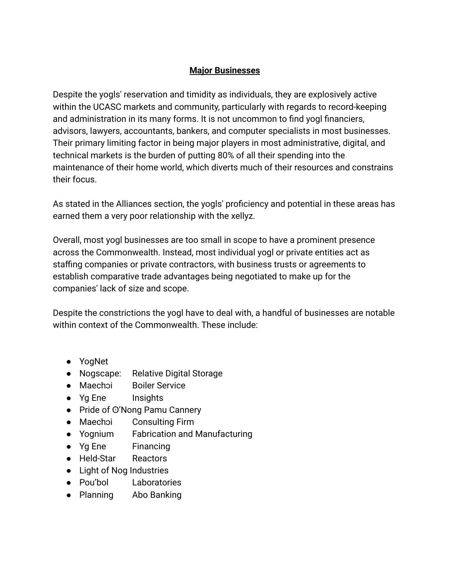# **Major Businesses**

Despite the yogls' reservation and timidity as individuals, they are explosively active within the UCASC markets and community, particularly with regards to record-keeping and administration in its many forms. It is not uncommon to find yogl financiers, advisors, lawyers, accountants, bankers, and computer specialists in most businesses. Their primary limiting factor in being major players in most administrative, digital, and technical markets is the burden of putting 80% of all their spending into the maintenance of their home world, which diverts much of their resources and constrains their focus.

As stated in the Alliances section, the yogls' proficiency and potential in these areas has earned them a very poor relationship with the xellyz.

Overall, most yogl businesses are too small in scope to have a prominent presence across the Commonwealth. Instead, most individual yogl or private entities act as staffing companies or private contractors, with business trusts or agreements to establish comparative trade advantages being negotiated to make up for the companies' lack of size and scope.

Despite the constrictions the yogl have to deal with, a handful of businesses are notable within context of the Commonwealth. These include:

- YogNet
- Nogscape: Relative Digital Storage
- Maechɔi Boiler Service
- Yg Ene Insights
- Pride of ⊙'Nong Pamu Cannery
- Maechɔi Consulting Firm
- Yognium Fabrication and Manufacturing
- Yg Ene Financing
- Held-Star Reactors
- Light of Nog Industries
- Pou'bol Laboratories
- Planning Abo Banking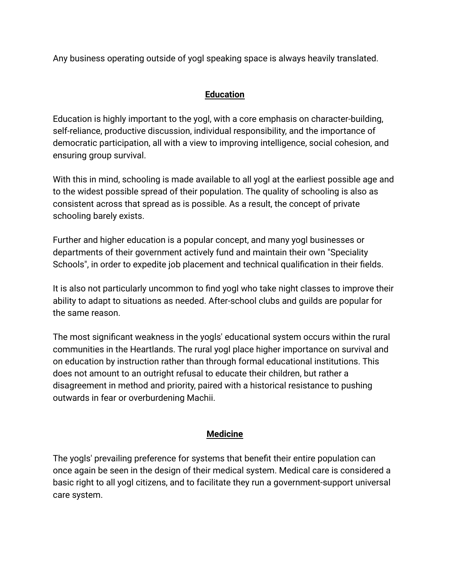Any business operating outside of yogl speaking space is always heavily translated.

# **Education**

Education is highly important to the yogl, with a core emphasis on character-building, self-reliance, productive discussion, individual responsibility, and the importance of democratic participation, all with a view to improving intelligence, social cohesion, and ensuring group survival.

With this in mind, schooling is made available to all yogl at the earliest possible age and to the widest possible spread of their population. The quality of schooling is also as consistent across that spread as is possible. As a result, the concept of private schooling barely exists.

Further and higher education is a popular concept, and many yogl businesses or departments of their government actively fund and maintain their own "Speciality Schools", in order to expedite job placement and technical qualification in their fields.

It is also not particularly uncommon to find yogl who take night classes to improve their ability to adapt to situations as needed. After-school clubs and guilds are popular for the same reason.

The most significant weakness in the yogls' educational system occurs within the rural communities in the Heartlands. The rural yogl place higher importance on survival and on education by instruction rather than through formal educational institutions. This does not amount to an outright refusal to educate their children, but rather a disagreement in method and priority, paired with a historical resistance to pushing outwards in fear or overburdening Machii.

# **Medicine**

The yogls' prevailing preference for systems that benefit their entire population can once again be seen in the design of their medical system. Medical care is considered a basic right to all yogl citizens, and to facilitate they run a government-support universal care system.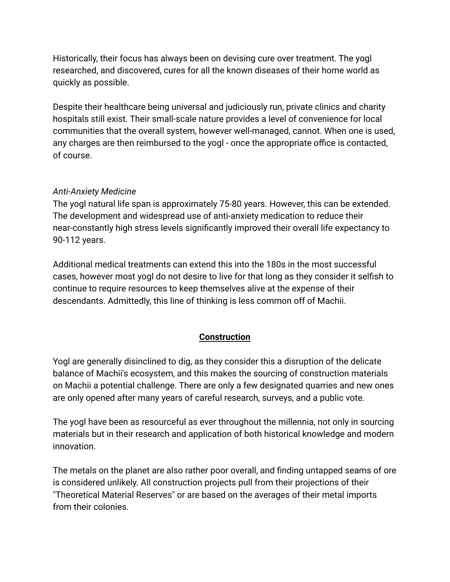Historically, their focus has always been on devising cure over treatment. The yogl researched, and discovered, cures for all the known diseases of their home world as quickly as possible.

Despite their healthcare being universal and judiciously run, private clinics and charity hospitals still exist. Their small-scale nature provides a level of convenience for local communities that the overall system, however well-managed, cannot. When one is used, any charges are then reimbursed to the yogl - once the appropriate office is contacted, of course.

#### *Anti-Anxiety Medicine*

The yogl natural life span is approximately 75-80 years. However, this can be extended. The development and widespread use of anti-anxiety medication to reduce their near-constantly high stress levels significantly improved their overall life expectancy to 90-112 years.

Additional medical treatments can extend this into the 180s in the most successful cases, however most yogl do not desire to live for that long as they consider it selfish to continue to require resources to keep themselves alive at the expense of their descendants. Admittedly, this line of thinking is less common off of Machii.

# **Construction**

Yogl are generally disinclined to dig, as they consider this a disruption of the delicate balance of Machii's ecosystem, and this makes the sourcing of construction materials on Machii a potential challenge. There are only a few designated quarries and new ones are only opened after many years of careful research, surveys, and a public vote.

The yogl have been as resourceful as ever throughout the millennia, not only in sourcing materials but in their research and application of both historical knowledge and modern innovation.

The metals on the planet are also rather poor overall, and finding untapped seams of ore is considered unlikely. All construction projects pull from their projections of their "Theoretical Material Reserves" or are based on the averages of their metal imports from their colonies.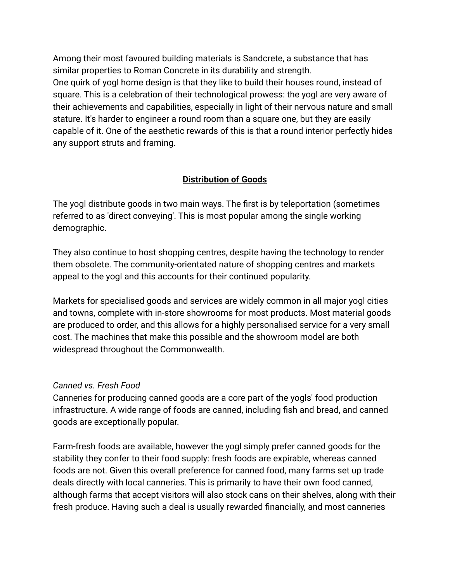Among their most favoured building materials is Sandcrete, a substance that has similar properties to Roman Concrete in its durability and strength. One quirk of yogl home design is that they like to build their houses round, instead of square. This is a celebration of their technological prowess: the yogl are very aware of their achievements and capabilities, especially in light of their nervous nature and small stature. It's harder to engineer a round room than a square one, but they are easily capable of it. One of the aesthetic rewards of this is that a round interior perfectly hides any support struts and framing.

# **Distribution of Goods**

The yogl distribute goods in two main ways. The first is by teleportation (sometimes referred to as 'direct conveying'. This is most popular among the single working demographic.

They also continue to host shopping centres, despite having the technology to render them obsolete. The community-orientated nature of shopping centres and markets appeal to the yogl and this accounts for their continued popularity.

Markets for specialised goods and services are widely common in all major yogl cities and towns, complete with in-store showrooms for most products. Most material goods are produced to order, and this allows for a highly personalised service for a very small cost. The machines that make this possible and the showroom model are both widespread throughout the Commonwealth.

#### *Canned vs. Fresh Food*

Canneries for producing canned goods are a core part of the yogls' food production infrastructure. A wide range of foods are canned, including fish and bread, and canned goods are exceptionally popular.

Farm-fresh foods are available, however the yogl simply prefer canned goods for the stability they confer to their food supply: fresh foods are expirable, whereas canned foods are not. Given this overall preference for canned food, many farms set up trade deals directly with local canneries. This is primarily to have their own food canned, although farms that accept visitors will also stock cans on their shelves, along with their fresh produce. Having such a deal is usually rewarded financially, and most canneries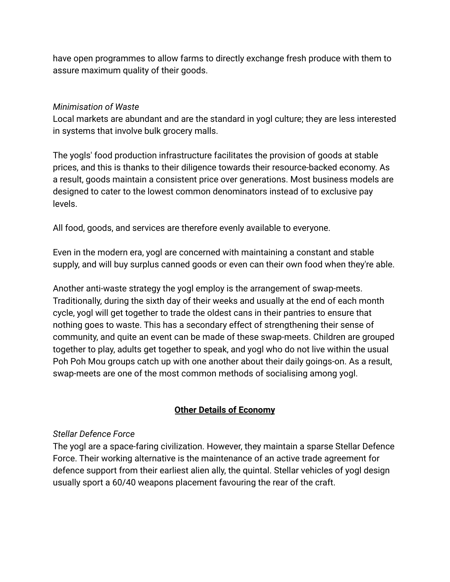have open programmes to allow farms to directly exchange fresh produce with them to assure maximum quality of their goods.

#### *Minimisation of Waste*

Local markets are abundant and are the standard in yogl culture; they are less interested in systems that involve bulk grocery malls.

The yogls' food production infrastructure facilitates the provision of goods at stable prices, and this is thanks to their diligence towards their resource-backed economy. As a result, goods maintain a consistent price over generations. Most business models are designed to cater to the lowest common denominators instead of to exclusive pay levels.

All food, goods, and services are therefore evenly available to everyone.

Even in the modern era, yogl are concerned with maintaining a constant and stable supply, and will buy surplus canned goods or even can their own food when they're able.

Another anti-waste strategy the yogl employ is the arrangement of swap-meets. Traditionally, during the sixth day of their weeks and usually at the end of each month cycle, yogl will get together to trade the oldest cans in their pantries to ensure that nothing goes to waste. This has a secondary effect of strengthening their sense of community, and quite an event can be made of these swap-meets. Children are grouped together to play, adults get together to speak, and yogl who do not live within the usual Poh Poh Mou groups catch up with one another about their daily goings-on. As a result, swap-meets are one of the most common methods of socialising among yogl.

# **Other Details of Economy**

# *Stellar Defence Force*

The yogl are a space-faring civilization. However, they maintain a sparse Stellar Defence Force. Their working alternative is the maintenance of an active trade agreement for defence support from their earliest alien ally, the quintal. Stellar vehicles of yogl design usually sport a 60/40 weapons placement favouring the rear of the craft.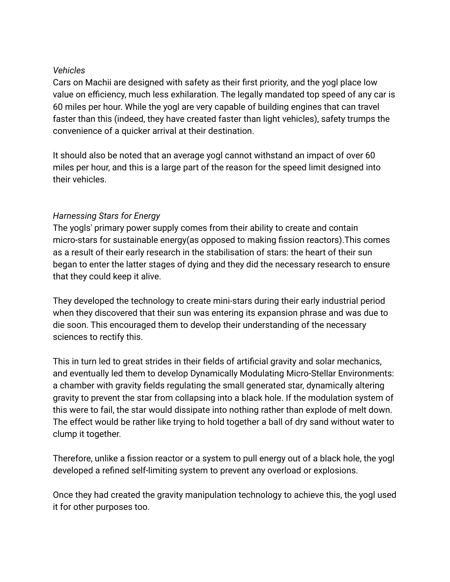#### *Vehicles*

Cars on Machii are designed with safety as their first priority, and the yogl place low value on efficiency, much less exhilaration. The legally mandated top speed of any car is 60 miles per hour. While the yogl are very capable of building engines that can travel faster than this (indeed, they have created faster than light vehicles), safety trumps the convenience of a quicker arrival at their destination.

It should also be noted that an average yogl cannot withstand an impact of over 60 miles per hour, and this is a large part of the reason for the speed limit designed into their vehicles.

# *Harnessing Stars for Energy*

The yogls' primary power supply comes from their ability to create and contain micro-stars for sustainable energy(as opposed to making fission reactors).This comes as a result of their early research in the stabilisation of stars: the heart of their sun began to enter the latter stages of dying and they did the necessary research to ensure that they could keep it alive.

They developed the technology to create mini-stars during their early industrial period when they discovered that their sun was entering its expansion phrase and was due to die soon. This encouraged them to develop their understanding of the necessary sciences to rectify this.

This in turn led to great strides in their fields of artificial gravity and solar mechanics, and eventually led them to develop Dynamically Modulating Micro-Stellar Environments: a chamber with gravity fields regulating the small generated star, dynamically altering gravity to prevent the star from collapsing into a black hole. If the modulation system of this were to fail, the star would dissipate into nothing rather than explode of melt down. The effect would be rather like trying to hold together a ball of dry sand without water to clump it together.

Therefore, unlike a fission reactor or a system to pull energy out of a black hole, the yogl developed a refined self-limiting system to prevent any overload or explosions.

Once they had created the gravity manipulation technology to achieve this, the yogl used it for other purposes too.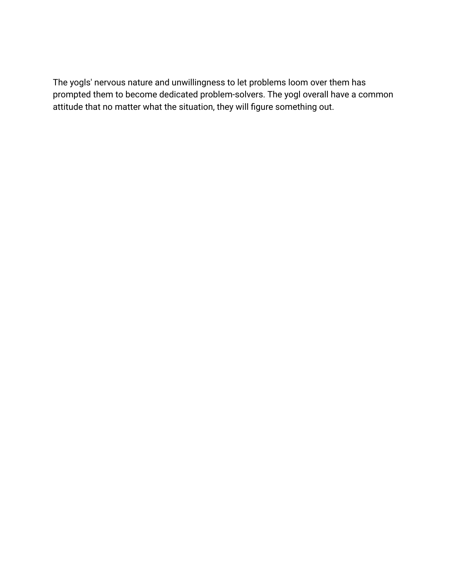The yogls' nervous nature and unwillingness to let problems loom over them has prompted them to become dedicated problem-solvers. The yogl overall have a common attitude that no matter what the situation, they will figure something out.